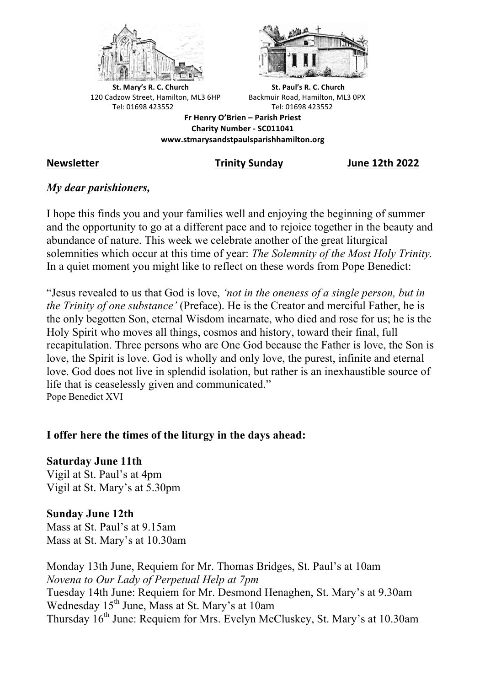



**St.** Mary's R. C. Church St. Paul's R. C. Church 120 Cadzow Street, Hamilton, ML3 6HP Backmuir Road, Hamilton, ML3 0PX Tel: 01698 423552 Tel: 01698 423552

**Fr Henry O'Brien – Parish Priest Charity Number - SC011041 www.stmarysandstpaulsparishhamilton.org**

**Newsletter Trinity Sunday June 12th 2022**

## *My dear parishioners,*

I hope this finds you and your families well and enjoying the beginning of summer and the opportunity to go at a different pace and to rejoice together in the beauty and abundance of nature. This week we celebrate another of the great liturgical solemnities which occur at this time of year: *The Solemnity of the Most Holy Trinity.* In a quiet moment you might like to reflect on these words from Pope Benedict:

"Jesus revealed to us that God is love, *'not in the oneness of a single person, but in the Trinity of one substance'* (Preface). He is the Creator and merciful Father, he is the only begotten Son, eternal Wisdom incarnate, who died and rose for us; he is the Holy Spirit who moves all things, cosmos and history, toward their final, full recapitulation. Three persons who are One God because the Father is love, the Son is love, the Spirit is love. God is wholly and only love, the purest, infinite and eternal love. God does not live in splendid isolation, but rather is an inexhaustible source of life that is ceaselessly given and communicated." Pope Benedict XVI

## **I offer here the times of the liturgy in the days ahead:**

**Saturday June 11th** Vigil at St. Paul's at 4pm Vigil at St. Mary's at 5.30pm

# **Sunday June 12th**

Mass at St. Paul's at 9.15am Mass at St. Mary's at 10.30am

Monday 13th June, Requiem for Mr. Thomas Bridges, St. Paul's at 10am *Novena to Our Lady of Perpetual Help at 7pm* Tuesday 14th June: Requiem for Mr. Desmond Henaghen, St. Mary's at 9.30am Wednesday 15<sup>th</sup> June, Mass at St. Mary's at 10am Thursday 16th June: Requiem for Mrs. Evelyn McCluskey, St. Mary's at 10.30am